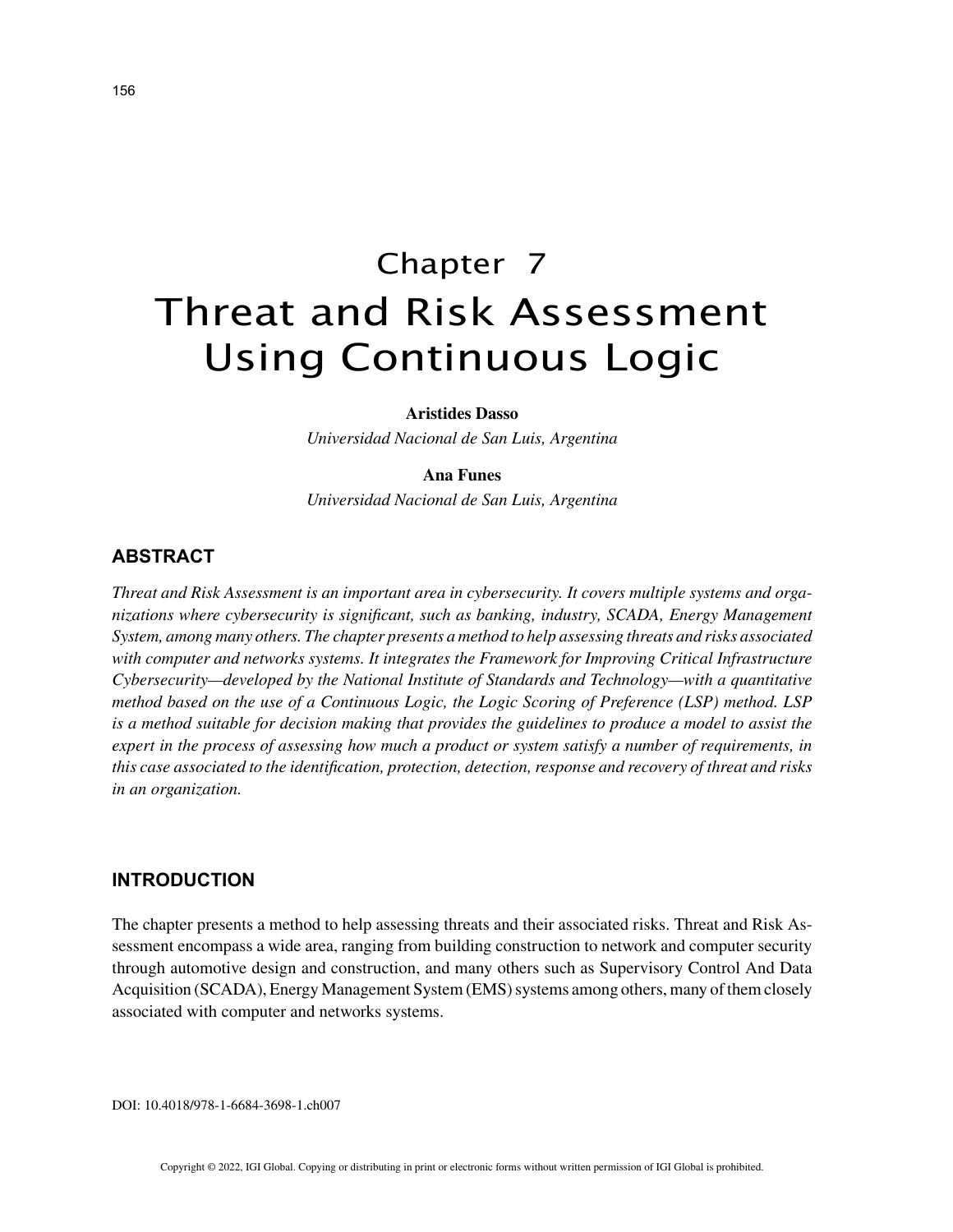# Chapter 7 Threat and Risk Assessment Using Continuous Logic

#### **Aristides Dasso**

*Universidad Nacional de San Luis, Argentina*

### **Ana Funes**

*Universidad Nacional de San Luis, Argentina*

## **ABSTRACT**

*Threat and Risk Assessment is an important area in cybersecurity. It covers multiple systems and organizations where cybersecurity is significant, such as banking, industry, SCADA, Energy Management System, among many others. The chapter presents a method to help assessing threats and risks associated with computer and networks systems. It integrates the Framework for Improving Critical Infrastructure Cybersecurity—developed by the National Institute of Standards and Technology—with a quantitative method based on the use of a Continuous Logic, the Logic Scoring of Preference (LSP) method. LSP is a method suitable for decision making that provides the guidelines to produce a model to assist the expert in the process of assessing how much a product or system satisfy a number of requirements, in this case associated to the identification, protection, detection, response and recovery of threat and risks in an organization.*

#### **INTRODUCTION**

The chapter presents a method to help assessing threats and their associated risks. Threat and Risk Assessment encompass a wide area, ranging from building construction to network and computer security through automotive design and construction, and many others such as Supervisory Control And Data Acquisition (SCADA), Energy Management System (EMS) systems among others, many of them closely associated with computer and networks systems.

DOI: 10.4018/978-1-6684-3698-1.ch007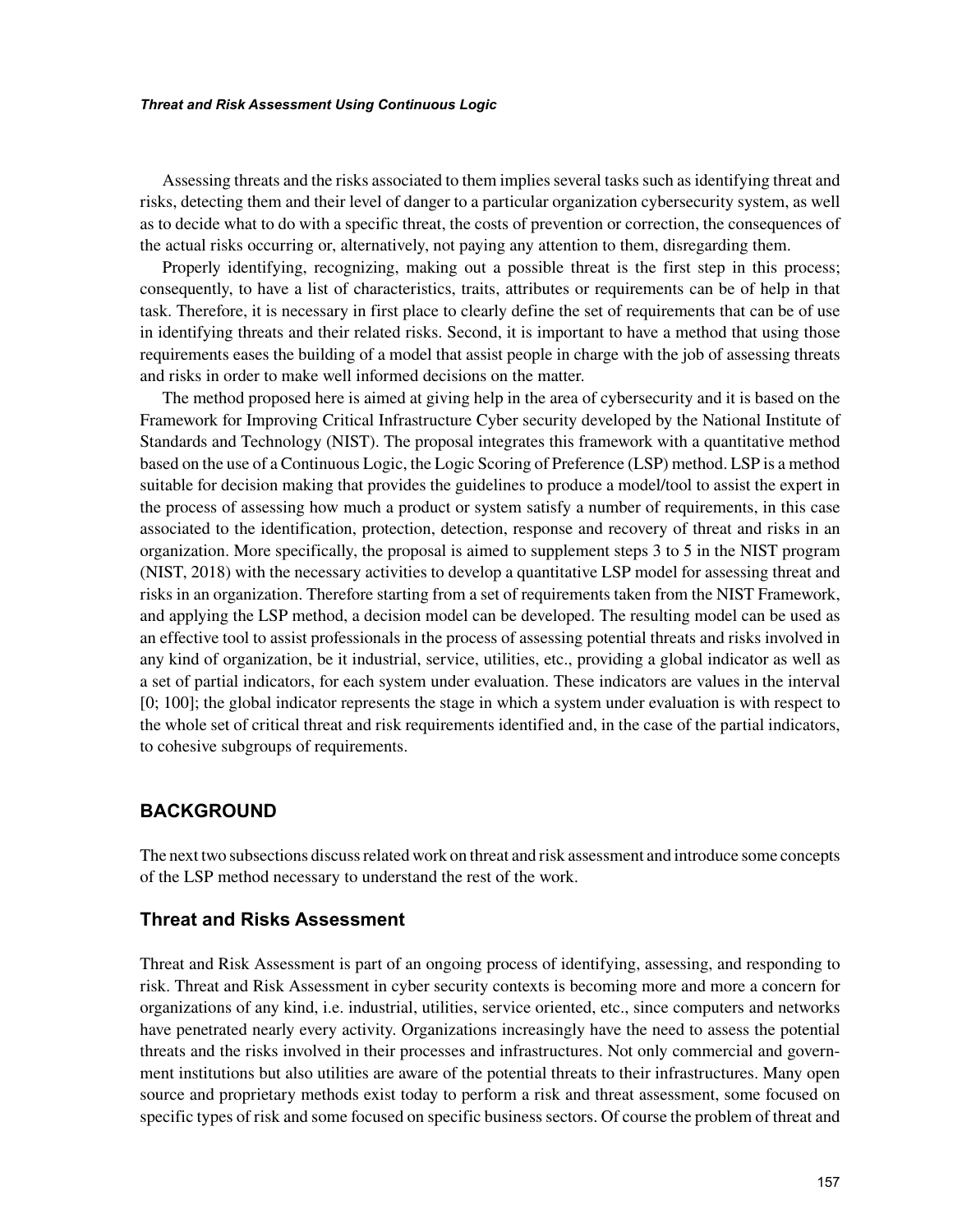#### *Threat and Risk Assessment Using Continuous Logic*

Assessing threats and the risks associated to them implies several tasks such as identifying threat and risks, detecting them and their level of danger to a particular organization cybersecurity system, as well as to decide what to do with a specific threat, the costs of prevention or correction, the consequences of the actual risks occurring or, alternatively, not paying any attention to them, disregarding them.

Properly identifying, recognizing, making out a possible threat is the first step in this process; consequently, to have a list of characteristics, traits, attributes or requirements can be of help in that task. Therefore, it is necessary in first place to clearly define the set of requirements that can be of use in identifying threats and their related risks. Second, it is important to have a method that using those requirements eases the building of a model that assist people in charge with the job of assessing threats and risks in order to make well informed decisions on the matter.

The method proposed here is aimed at giving help in the area of cybersecurity and it is based on the Framework for Improving Critical Infrastructure Cyber security developed by the National Institute of Standards and Technology (NIST). The proposal integrates this framework with a quantitative method based on the use of a Continuous Logic, the Logic Scoring of Preference (LSP) method. LSP is a method suitable for decision making that provides the guidelines to produce a model/tool to assist the expert in the process of assessing how much a product or system satisfy a number of requirements, in this case associated to the identification, protection, detection, response and recovery of threat and risks in an organization. More specifically, the proposal is aimed to supplement steps 3 to 5 in the NIST program (NIST, 2018) with the necessary activities to develop a quantitative LSP model for assessing threat and risks in an organization. Therefore starting from a set of requirements taken from the NIST Framework, and applying the LSP method, a decision model can be developed. The resulting model can be used as an effective tool to assist professionals in the process of assessing potential threats and risks involved in any kind of organization, be it industrial, service, utilities, etc., providing a global indicator as well as a set of partial indicators, for each system under evaluation. These indicators are values in the interval [0; 100]; the global indicator represents the stage in which a system under evaluation is with respect to the whole set of critical threat and risk requirements identified and, in the case of the partial indicators, to cohesive subgroups of requirements.

### **BACKGROUND**

The next two subsections discuss related work on threat and risk assessment and introduce some concepts of the LSP method necessary to understand the rest of the work.

#### **Threat and Risks Assessment**

Threat and Risk Assessment is part of an ongoing process of identifying, assessing, and responding to risk. Threat and Risk Assessment in cyber security contexts is becoming more and more a concern for organizations of any kind, i.e. industrial, utilities, service oriented, etc., since computers and networks have penetrated nearly every activity. Organizations increasingly have the need to assess the potential threats and the risks involved in their processes and infrastructures. Not only commercial and government institutions but also utilities are aware of the potential threats to their infrastructures. Many open source and proprietary methods exist today to perform a risk and threat assessment, some focused on specific types of risk and some focused on specific business sectors. Of course the problem of threat and